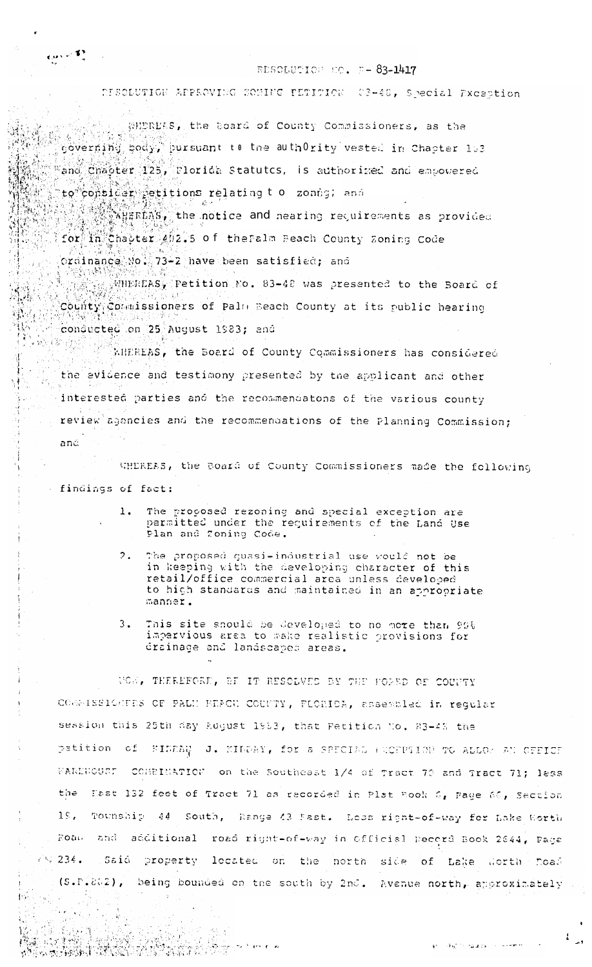## RESOLUTION NO. F-83-1417

## DISOLUTION APPROVING SOMING PETITION (2-40, Special Exception

WHEREAS, the Board of County Commissioners, as the governing body, pursuant to the authOrity vested in Chapter 153 "and Chaoter 125, Florida Statutes, is authorized and empowered

to consider etitions relating to zonng; and

**不会的**<br>《《新聞#RDAS》the notice and nearing requirements as provided for in Chapter 402.5 of the Falm Beach County Zoning Code

ordinance No. 73-2 have been satisfied; and

WHEREAS, Petition No. 83-48 was presented to the Board of County Commissioners of Palm Beach County at its public hearing conducted on 25 August 1983; and

KHEREAS, the Board of County Commissioners has considered the evidence and testimony presented by the applicant and other interested parties and the recommendatons of the various county review agencies and the recommendations of the Planning Commission;

and

 $(1000)^{100}$ 

3월~~

ď

M

Ŵ. 루기

> WHEREAS, the Board of County Commissioners made the following - findings of fact:

- $1.$ The proposed rezoning and special exception are permitted under the requirements of the Land Use Plan and Zoning Code.
- $2 -$ The proposed quasi-industrial use would not be in keeping with the developing character of this retail/office commercial area unless developed to high standards and maintained in an appropriate manner.
- $3.$ This site should be developed to no more than 90% impervious area to wake realistic provisions for drainage and landscaped areas.

UCE, THEREFORE, BE IT RESOLVED BY THE FORED OF COUNTY COGNISSIGNEES OF PALN BEACH COUNTY, FLORIDA, assembled in regular session this 25th day August 1963, that Petition No. 83-48 the petition of FINAN J. KILDAY, for a SPECIAL FUCEPTION TO ALLOWAN OFFICE WAREHOUSE COMBINATION on the Southeast 1/4 of Tract 70 and Tract 71; less the East 132 feet of Tract 71 as recorded in Plat Book 6, Page 66, Section 19, Township 44 South, Range 43 Fast. Less right-of-way for Lake Worth Road and additional road right-of-way in Official Record Book 2644, Page / 234. Said property located on the north side of Lake Worth Doad (S.P.202), being bounded on the south by 2nd. Avenue north, approximately

ندار و الاطراف برد.<br>مراجع

 $\frac{1}{2}$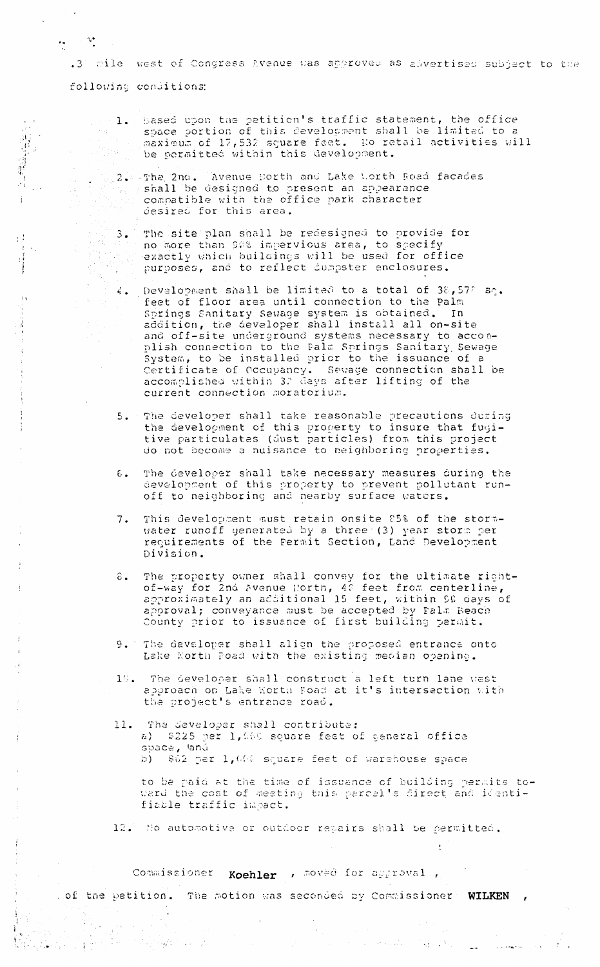anile west of Congress Avenue was approved as advertised subject to the  $\cdot$  3 following conditions:

 $\label{eq:4} \mathbf{v}_{\mathbf{y}} = \mathbf{v} \cdot \mathbf{v}_{\mathbf{y}}^{\mathbf{y}}$ 

r iyo

 $\frac{1}{2} \frac{1}{k}$ 

 $\frac{2\pi}{\pi} \frac{1}{2} \frac{1}{2} \frac{1}{2}$ 

 $\label{eq:2.1} \frac{1}{\sqrt{2}}\frac{1}{2}\frac{1}{2} \left( \frac{1}{2} \left( \frac{1}{2} \frac{1}{2} \frac{1}{2} \frac{1}{2} \right) - \frac{1}{2} \left( \frac{1}{2} \frac{1}{2} \frac{1}{2} \frac{1}{2} \frac{1}{2} \frac{1}{2} \frac{1}{2} \frac{1}{2} \frac{1}{2} \frac{1}{2} \frac{1}{2} \frac{1}{2} \frac{1}{2} \frac{1}{2} \frac{1}{2} \frac{1}{2} \frac{1}{2} \frac{1}{2} \frac{1}{2}$ 

4.19. 100

- Based upon the petition's traffic statement, the office  $1.$ space portion of this development shall be limited to a maximum of 17,532 square feet. No retail activities will be permitted within this development.
- 2. The 2nd. Avenue Borth and Lake Worth Road facades shall be designed to present an appearance compatible with the office park character desired for this area.
	- The site plan shall be redesigned to provide for  $3.$ no more than 90% impervious area, to specify exactly which buildings will be used for office purposes, and to reflect dumpster enclosures.
	- 4. Development shall be limited to a total of 38,57% sq.<br>feet of floor area until connection to the Palm Springs Sanitary Sewage system is obtained. In addition, the developer shall install all on-site and off-site underground systems necessary to accomplish connection to the Palm Springs Sanitary Sewage System, to be installed prior to the issuance of a Certificate of Occupancy. Sewage connection shall be accomplished within 32 days after lifting of the current connection moratorium.
	- 5. The developer shall take reasonable precautions during the development of this property to insure that fugitive particulates (dust particles) from this project do not become a nuisance to neighboring properties.
	- The developer shall take necessary measures during the  $6.$ development of this property to prevent pollutant runoff to neighboring and nearby surface waters.
	- This development must retain onsite 85% of the storm- $7.$ water runoff generated by a three (3) year storm per requirements of the Fermit Section, Land Development Division.
	- The property owner shall convey for the ultimate right-<br>of-way for 2nd Avenue North, 40 feet from centerline,<br>approximately an additional 15 feet, within 50 days of<br>approval; conveyance must be accepted by Falm Beach<br>appro  $\hat{\epsilon}$ . County prior to issuance of first building permit.
	- 9. The developer shall align the proposed entrance onto Lake Korth Road with the existing median opening.
	- The developer shall construct a left turn lane west  $16.$ approach on Lake Worth Boad at it's intersection with the project's entrance road.
	- The developer shall contribute:  $11.$ a) \$225 per 1,000 square feet of general office space, land b) \$62 per 1,000 square feet of warehouse space

to be paid at the time of issuance of building permits toward the cost of meeting this parcel's direct and identifiable traffic impact.

 $\label{eq:2} \mathcal{L}(\mathcal{F}) = \mathcal{L}(\mathcal{F}) \left( \mathcal{H} \left( \mathcal{F} \right) \right) \left( \mathcal{F} \right) \left( \mathcal{F} \right) \left( \mathcal{F} \right) \left( \mathcal{F} \right) \left( \mathcal{F} \right) \left( \mathcal{F} \right) \left( \mathcal{F} \right)$ 

12. No automotive or outdoor repairs shall be permitted.

Commissioner Koehler , moved for approval,

of the petition. The motion was seconded by Commissioner WILKEN,